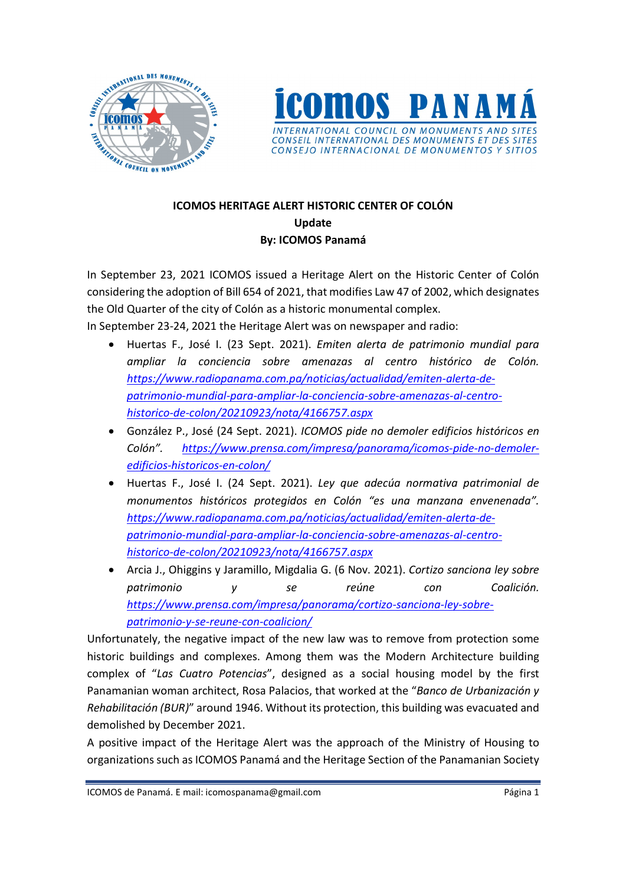



## ICOMOS HERITAGE ALERT HISTORIC CENTER OF COLÓN Update By: ICOMOS Panamá

In September 23, 2021 ICOMOS issued a Heritage Alert on the Historic Center of Colón considering the adoption of Bill 654 of 2021, that modifies Law 47 of 2002, which designates the Old Quarter of the city of Colón as a historic monumental complex.

In September 23-24, 2021 the Heritage Alert was on newspaper and radio:

- Huertas F., José I. (23 Sept. 2021). Emiten alerta de patrimonio mundial para ampliar la conciencia sobre amenazas al centro histórico de Colón. https://www.radiopanama.com.pa/noticias/actualidad/emiten-alerta-depatrimonio-mundial-para-ampliar-la-conciencia-sobre-amenazas-al-centrohistorico-de-colon/20210923/nota/4166757.aspx
- González P., José (24 Sept. 2021). ICOMOS pide no demoler edificios históricos en Colón". https://www.prensa.com/impresa/panorama/icomos-pide-no-demoleredificios-historicos-en-colon/
- Huertas F., José I. (24 Sept. 2021). Ley que adecúa normativa patrimonial de monumentos históricos protegidos en Colón "es una manzana envenenada". https://www.radiopanama.com.pa/noticias/actualidad/emiten-alerta-depatrimonio-mundial-para-ampliar-la-conciencia-sobre-amenazas-al-centrohistorico-de-colon/20210923/nota/4166757.aspx
- Arcia J., Ohiggins y Jaramillo, Migdalia G. (6 Nov. 2021). Cortizo sanciona ley sobre patrimonio y se reúne con Coalición. https://www.prensa.com/impresa/panorama/cortizo-sanciona-ley-sobrepatrimonio-y-se-reune-con-coalicion/

Unfortunately, the negative impact of the new law was to remove from protection some historic buildings and complexes. Among them was the Modern Architecture building complex of "Las Cuatro Potencias", designed as a social housing model by the first Panamanian woman architect, Rosa Palacios, that worked at the "Banco de Urbanización y Rehabilitación (BUR)" around 1946. Without its protection, this building was evacuated and demolished by December 2021.

A positive impact of the Heritage Alert was the approach of the Ministry of Housing to organizations such as ICOMOS Panamá and the Heritage Section of the Panamanian Society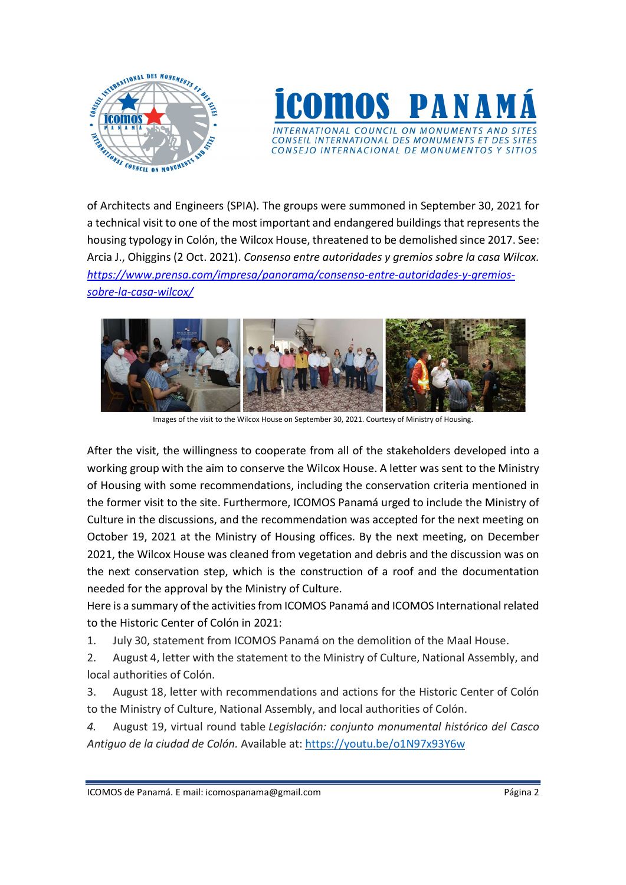



of Architects and Engineers (SPIA). The groups were summoned in September 30, 2021 for a technical visit to one of the most important and endangered buildings that represents the housing typology in Colón, the Wilcox House, threatened to be demolished since 2017. See: Arcia J., Ohiggins (2 Oct. 2021). Consenso entre autoridades y gremios sobre la casa Wilcox. https://www.prensa.com/impresa/panorama/consenso-entre-autoridades-y-gremiossobre-la-casa-wilcox/



Images of the visit to the Wilcox House on September 30, 2021. Courtesy of Ministry of Housing.

After the visit, the willingness to cooperate from all of the stakeholders developed into a working group with the aim to conserve the Wilcox House. A letter was sent to the Ministry of Housing with some recommendations, including the conservation criteria mentioned in the former visit to the site. Furthermore, ICOMOS Panamá urged to include the Ministry of Culture in the discussions, and the recommendation was accepted for the next meeting on October 19, 2021 at the Ministry of Housing offices. By the next meeting, on December 2021, the Wilcox House was cleaned from vegetation and debris and the discussion was on the next conservation step, which is the construction of a roof and the documentation needed for the approval by the Ministry of Culture.

Here is a summary of the activities from ICOMOS Panamá and ICOMOS International related to the Historic Center of Colón in 2021:

1. July 30, statement from ICOMOS Panamá on the demolition of the Maal House.

2. August 4, letter with the statement to the Ministry of Culture, National Assembly, and local authorities of Colón.

3. August 18, letter with recommendations and actions for the Historic Center of Colón to the Ministry of Culture, National Assembly, and local authorities of Colón.

4. August 19, virtual round table Legislación: conjunto monumental histórico del Casco Antiguo de la ciudad de Colón. Available at: https://youtu.be/o1N97x93Y6w

ICOMOS de Panamá. E mail: icomospanama@gmail.com Página 2